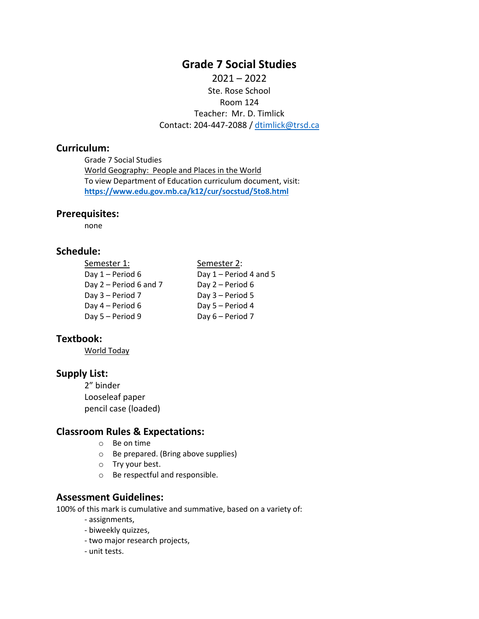# **Grade 7 Social Studies**

 $2021 - 2022$ Ste. Rose School Room 124 Teacher: Mr. D. Timlick Contact: 204-447-2088 / [dtimlick@trsd.ca](mailto:dtimlick@trsd.ca)

# **Curriculum:**

Grade 7 Social Studies World Geography: People and Places in the World To view Department of Education curriculum document, visit: **<https://www.edu.gov.mb.ca/k12/cur/socstud/5to8.html>**

# **Prerequisites:**

none

# **Schedule:**

| Semester 1:            | Semester 2:              |
|------------------------|--------------------------|
| Day 1 - Period 6       | Day $1 - Period 4$ and 5 |
| Day 2 – Period 6 and 7 | Day $2$ – Period 6       |
| Day 3 - Period 7       | Day 3 - Period 5         |
| Day 4 – Period 6       | Day 5 - Period 4         |
| Day 5 - Period 9       | Day 6 - Period 7         |

# **Textbook:**

World Today

# **Supply List:**

2" binder Looseleaf paper pencil case (loaded)

## **Classroom Rules & Expectations:**

- o Be on time
- o Be prepared. (Bring above supplies)
- o Try your best.
- o Be respectful and responsible.

## **Assessment Guidelines:**

100% of this mark is cumulative and summative, based on a variety of:

- assignments,
- biweekly quizzes,
- two major research projects,
- unit tests.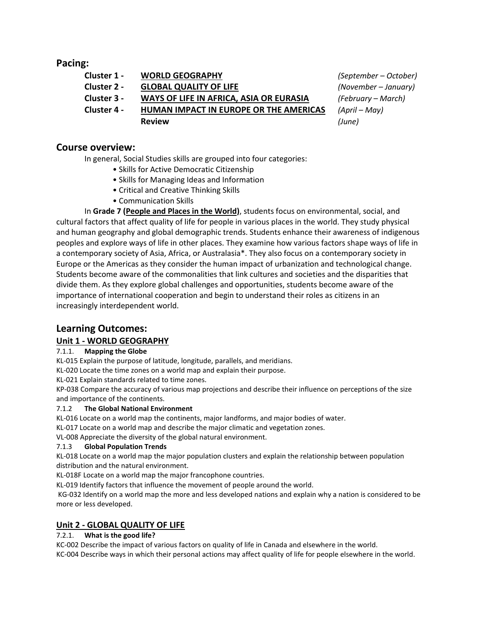# **Pacing:**

| Cluster 1 - | <b>WORLD GEOGRAPHY</b>                  | (September – October) |
|-------------|-----------------------------------------|-----------------------|
| Cluster 2 - | <b>GLOBAL QUALITY OF LIFE</b>           | (November – January)  |
| Cluster 3 - | WAYS OF LIFE IN AFRICA, ASIA OR EURASIA | (February – March)    |
| Cluster 4 - | HUMAN IMPACT IN EUROPE OR THE AMERICAS  | (April – May)         |
|             | <b>Review</b>                           | (June)                |

# **Course overview:**

In general, Social Studies skills are grouped into four categories:

- Skills for Active Democratic Citizenship
- Skills for Managing Ideas and Information
- Critical and Creative Thinking Skills
- Communication Skills

In **Grade 7 (People and Places in the World)**, students focus on environmental, social, and cultural factors that affect quality of life for people in various places in the world. They study physical and human geography and global demographic trends. Students enhance their awareness of indigenous peoples and explore ways of life in other places. They examine how various factors shape ways of life in a contemporary society of Asia, Africa, or Australasia\*. They also focus on a contemporary society in Europe or the Americas as they consider the human impact of urbanization and technological change. Students become aware of the commonalities that link cultures and societies and the disparities that divide them. As they explore global challenges and opportunities, students become aware of the importance of international cooperation and begin to understand their roles as citizens in an increasingly interdependent world.

# **Learning Outcomes:**

# **Unit 1 - WORLD GEOGRAPHY**

## 7.1.1. **Mapping the Globe**

KL-015 Explain the purpose of latitude, longitude, parallels, and meridians.

KL-020 Locate the time zones on a world map and explain their purpose.

KL-021 Explain standards related to time zones.

KP-038 Compare the accuracy of various map projections and describe their influence on perceptions of the size and importance of the continents.

## 7.1.2 **The Global National Environment**

KL-016 Locate on a world map the continents, major landforms, and major bodies of water.

KL-017 Locate on a world map and describe the major climatic and vegetation zones.

VL-008 Appreciate the diversity of the global natural environment.

## 7.1.3 **Global Population Trends**

KL-018 Locate on a world map the major population clusters and explain the relationship between population distribution and the natural environment.

KL-018F Locate on a world map the major francophone countries.

KL-019 Identify factors that influence the movement of people around the world.

KG-032 Identify on a world map the more and less developed nations and explain why a nation is considered to be more or less developed.

# **Unit 2 - GLOBAL QUALITY OF LIFE**

## 7.2.1. **What is the good life?**

KC-002 Describe the impact of various factors on quality of life in Canada and elsewhere in the world. KC-004 Describe ways in which their personal actions may affect quality of life for people elsewhere in the world.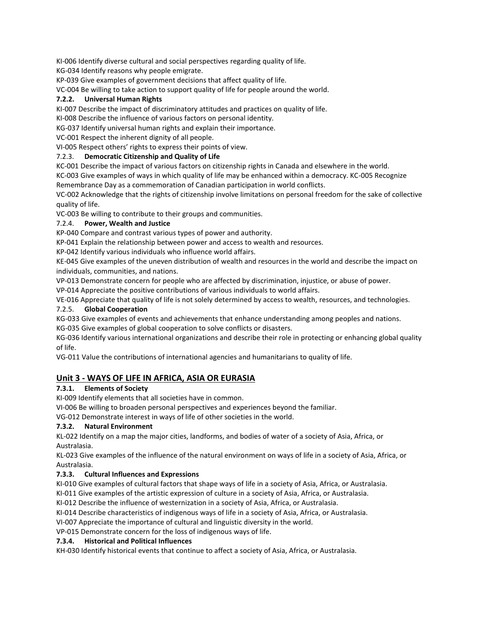KI-006 Identify diverse cultural and social perspectives regarding quality of life.

KG-034 Identify reasons why people emigrate.

KP-039 Give examples of government decisions that affect quality of life.

VC-004 Be willing to take action to support quality of life for people around the world.

#### **7.2.2. Universal Human Rights**

KI-007 Describe the impact of discriminatory attitudes and practices on quality of life.

KI-008 Describe the influence of various factors on personal identity.

KG-037 Identify universal human rights and explain their importance.

VC-001 Respect the inherent dignity of all people.

VI-005 Respect others' rights to express their points of view.

#### 7.2.3. **Democratic Citizenship and Quality of Life**

KC-001 Describe the impact of various factors on citizenship rights in Canada and elsewhere in the world.

KC-003 Give examples of ways in which quality of life may be enhanced within a democracy. KC-005 Recognize Remembrance Day as a commemoration of Canadian participation in world conflicts.

VC-002 Acknowledge that the rights of citizenship involve limitations on personal freedom for the sake of collective quality of life.

VC-003 Be willing to contribute to their groups and communities.

## 7.2.4. **Power, Wealth and Justice**

KP-040 Compare and contrast various types of power and authority.

KP-041 Explain the relationship between power and access to wealth and resources.

KP-042 Identify various individuals who influence world affairs.

KE-045 Give examples of the uneven distribution of wealth and resources in the world and describe the impact on individuals, communities, and nations.

VP-013 Demonstrate concern for people who are affected by discrimination, injustice, or abuse of power.

VP-014 Appreciate the positive contributions of various individuals to world affairs.

VE-016 Appreciate that quality of life is not solely determined by access to wealth, resources, and technologies.

## 7.2.5. **Global Cooperation**

KG-033 Give examples of events and achievements that enhance understanding among peoples and nations.

KG-035 Give examples of global cooperation to solve conflicts or disasters.

KG-036 Identify various international organizations and describe their role in protecting or enhancing global quality of life.

VG-011 Value the contributions of international agencies and humanitarians to quality of life.

# **Unit 3 - WAYS OF LIFE IN AFRICA, ASIA OR EURASIA**

## **7.3.1. Elements of Society**

KI-009 Identify elements that all societies have in common.

VI-006 Be willing to broaden personal perspectives and experiences beyond the familiar.

VG-012 Demonstrate interest in ways of life of other societies in the world.

## **7.3.2. Natural Environment**

KL-022 Identify on a map the major cities, landforms, and bodies of water of a society of Asia, Africa, or Australasia.

KL-023 Give examples of the influence of the natural environment on ways of life in a society of Asia, Africa, or Australasia.

## **7.3.3. Cultural Influences and Expressions**

KI-010 Give examples of cultural factors that shape ways of life in a society of Asia, Africa, or Australasia.

KI-011 Give examples of the artistic expression of culture in a society of Asia, Africa, or Australasia.

KI-012 Describe the influence of westernization in a society of Asia, Africa, or Australasia.

KI-014 Describe characteristics of indigenous ways of life in a society of Asia, Africa, or Australasia.

VI-007 Appreciate the importance of cultural and linguistic diversity in the world.

VP-015 Demonstrate concern for the loss of indigenous ways of life.

#### **7.3.4. Historical and Political Influences**

KH-030 Identify historical events that continue to affect a society of Asia, Africa, or Australasia.